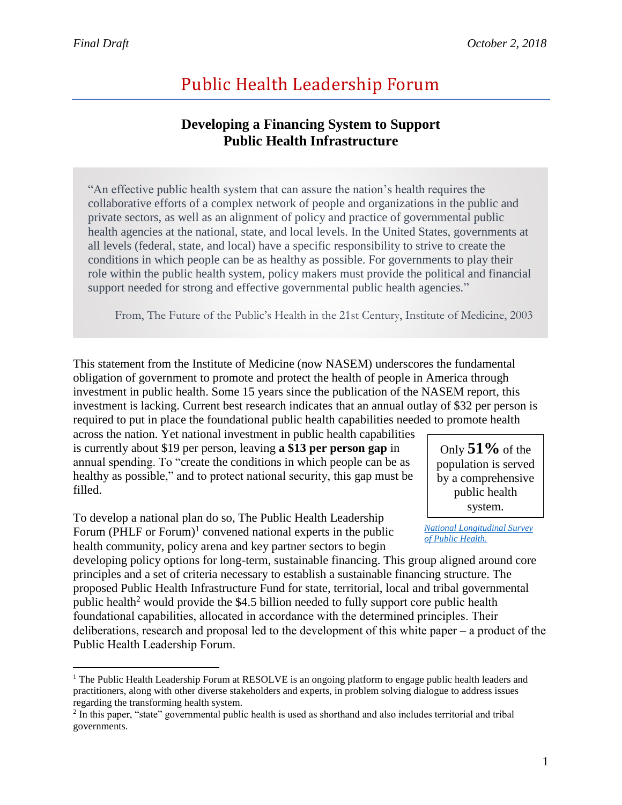$\overline{a}$ 

# Public Health Leadership Forum

# **Developing a Financing System to Support Public Health Infrastructure**

"An effective public health system that can assure the nation's health requires the collaborative efforts of a complex network of people and organizations in the public and private sectors, as well as an alignment of policy and practice of governmental public health agencies at the national, state, and local levels. In the United States, governments at all levels (federal, state, and local) have a specific responsibility to strive to create the conditions in which people can be as healthy as possible. For governments to play their role within the public health system, policy makers must provide the political and financial support needed for strong and effective governmental public health agencies."

From, The Future of the Public's Health in the 21st Century, Institute of Medicine, 2003

This statement from the Institute of Medicine (now NASEM) underscores the fundamental obligation of government to promote and protect the health of people in America through investment in public health. Some 15 years since the publication of the NASEM report, this investment is lacking. Current best research indicates that an annual outlay of \$32 per person is required to put in place the foundational public health capabilities needed to promote health

across the nation. Yet national investment in public health capabilities is currently about \$19 per person, leaving **a \$13 per person gap** in annual spending. To "create the conditions in which people can be as healthy as possible," and to protect national security, this gap must be filled.

To develop a national plan do so, The Public Health Leadership Forum (PHLF or Forum)<sup>1</sup> convened national experts in the public health community, policy arena and key partner sectors to begin

Only **51%** of the population is served by a comprehensive public health system.

*[National Longitudinal Survey](http://systemsforaction.org/national-longitudinal-survey-public-health-systems)  [of Public Health.](http://systemsforaction.org/national-longitudinal-survey-public-health-systems)*

developing policy options for long-term, sustainable financing. This group aligned around core principles and a set of criteria necessary to establish a sustainable financing structure. The proposed Public Health Infrastructure Fund for state, territorial, local and tribal governmental public health<sup>2</sup> would provide the \$4.5 billion needed to fully support core public health foundational capabilities, allocated in accordance with the determined principles. Their deliberations, research and proposal led to the development of this white paper – a product of the Public Health Leadership Forum.

<sup>&</sup>lt;sup>1</sup> The Public Health Leadership Forum at RESOLVE is an ongoing platform to engage public health leaders and practitioners, along with other diverse stakeholders and experts, in problem solving dialogue to address issues regarding the transforming health system.

<sup>&</sup>lt;sup>2</sup> In this paper, "state" governmental public health is used as shorthand and also includes territorial and tribal governments.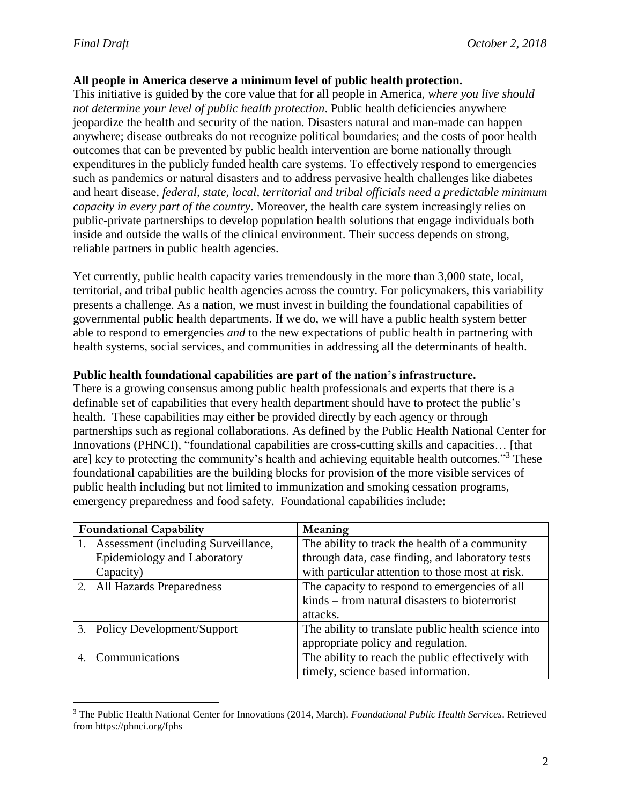#### **All people in America deserve a minimum level of public health protection.**

This initiative is guided by the core value that for all people in America, *where you live should not determine your level of public health protection*. Public health deficiencies anywhere jeopardize the health and security of the nation. Disasters natural and man-made can happen anywhere; disease outbreaks do not recognize political boundaries; and the costs of poor health outcomes that can be prevented by public health intervention are borne nationally through expenditures in the publicly funded health care systems. To effectively respond to emergencies such as pandemics or natural disasters and to address pervasive health challenges like diabetes and heart disease, *federal, state, local, territorial and tribal officials need a predictable minimum capacity in every part of the country*. Moreover, the health care system increasingly relies on public-private partnerships to develop population health solutions that engage individuals both inside and outside the walls of the clinical environment. Their success depends on strong, reliable partners in public health agencies.

Yet currently, public health capacity varies tremendously in the more than 3,000 state, local, territorial, and tribal public health agencies across the country. For policymakers, this variability presents a challenge. As a nation, we must invest in building the foundational capabilities of governmental public health departments. If we do, we will have a public health system better able to respond to emergencies *and* to the new expectations of public health in partnering with health systems, social services, and communities in addressing all the determinants of health.

#### **Public health foundational capabilities are part of the nation's infrastructure.**

There is a growing consensus among public health professionals and experts that there is a definable set of capabilities that every health department should have to protect the public's health. These capabilities may either be provided directly by each agency or through partnerships such as regional collaborations. As defined by the Public Health National Center for Innovations (PHNCI), "foundational capabilities are cross-cutting skills and capacities… [that are] key to protecting the community's health and achieving equitable health outcomes."<sup>3</sup> These foundational capabilities are the building blocks for provision of the more visible services of public health including but not limited to immunization and smoking cessation programs, emergency preparedness and food safety. Foundational capabilities include:

| <b>Foundational Capability</b> |                                        | Meaning                                             |
|--------------------------------|----------------------------------------|-----------------------------------------------------|
|                                | 1. Assessment (including Surveillance, | The ability to track the health of a community      |
|                                | Epidemiology and Laboratory            | through data, case finding, and laboratory tests    |
|                                | Capacity)                              | with particular attention to those most at risk.    |
|                                | 2. All Hazards Preparedness            | The capacity to respond to emergencies of all       |
|                                |                                        | kinds – from natural disasters to bioterrorist      |
|                                |                                        | attacks.                                            |
|                                | 3. Policy Development/Support          | The ability to translate public health science into |
|                                |                                        | appropriate policy and regulation.                  |
|                                | Communications                         | The ability to reach the public effectively with    |
|                                |                                        | timely, science based information.                  |

 $\overline{a}$ <sup>3</sup> The Public Health National Center for Innovations (2014, March). *Foundational Public Health Services*. Retrieved from https://phnci.org/fphs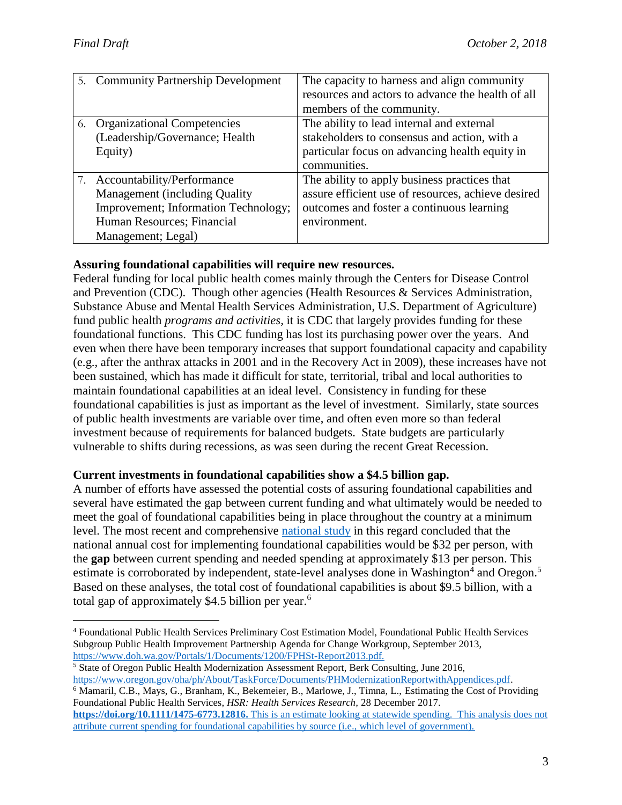| 5. Community Partnership Development | The capacity to harness and align community<br>resources and actors to advance the health of all<br>members of the community. |  |
|--------------------------------------|-------------------------------------------------------------------------------------------------------------------------------|--|
| 6. Organizational Competencies       | The ability to lead internal and external                                                                                     |  |
| (Leadership/Governance; Health       | stakeholders to consensus and action, with a                                                                                  |  |
| Equity)                              | particular focus on advancing health equity in                                                                                |  |
|                                      | communities.                                                                                                                  |  |
| 7. Accountability/Performance        | The ability to apply business practices that                                                                                  |  |
| Management (including Quality        | assure efficient use of resources, achieve desired                                                                            |  |
| Improvement; Information Technology; | outcomes and foster a continuous learning                                                                                     |  |
| Human Resources; Financial           | environment.                                                                                                                  |  |
| Management; Legal)                   |                                                                                                                               |  |

# **Assuring foundational capabilities will require new resources.**

Federal funding for local public health comes mainly through the Centers for Disease Control and Prevention (CDC). Though other agencies (Health Resources & Services Administration, Substance Abuse and Mental Health Services Administration, U.S. Department of Agriculture) fund public health *programs and activities,* it is CDC that largely provides funding for these foundational functions. This CDC funding has lost its purchasing power over the years. And even when there have been temporary increases that support foundational capacity and capability (e.g., after the anthrax attacks in 2001 and in the Recovery Act in 2009), these increases have not been sustained, which has made it difficult for state, territorial, tribal and local authorities to maintain foundational capabilities at an ideal level. Consistency in funding for these foundational capabilities is just as important as the level of investment. Similarly, state sources of public health investments are variable over time, and often even more so than federal investment because of requirements for balanced budgets. State budgets are particularly vulnerable to shifts during recessions, as was seen during the recent Great Recession.

### **Current investments in foundational capabilities show a \$4.5 billion gap.**

A number of efforts have assessed the potential costs of assuring foundational capabilities and several have estimated the gap between current funding and what ultimately would be needed to meet the goal of foundational capabilities being in place throughout the country at a minimum level. The most recent and comprehensive [national study](http://www.publichealthsystems.org/sites/default/files/presentations/NCCIntramural_Research/cbm%20poster_academyhealth_25Jun16.pdf) in this regard concluded that the national annual cost for implementing foundational capabilities would be \$32 per person, with the **gap** between current spending and needed spending at approximately \$13 per person. This estimate is corroborated by independent, state-level analyses done in Washington<sup>4</sup> and Oregon.<sup>5</sup> Based on these analyses, the total cost of foundational capabilities is about \$9.5 billion, with a total gap of approximately \$4.5 billion per year.<sup>6</sup>

<sup>5</sup> State of Oregon Public Health Modernization Assessment Report, Berk Consulting, June 2016, [https://www.oregon.gov/oha/ph/About/TaskForce/Documents/PHModernizationReportwithAppendices.pdf.](https://www.oregon.gov/oha/ph/About/TaskForce/Documents/PHModernizationReportwithAppendices.pdf)

<sup>6</sup> Mamaril, C.B., Mays, G., Branham, K., Bekemeier, B., Marlowe, J., Timna, L., Estimating the Cost of Providing Foundational Public Health Services, *HSR: Health Services Research,* 28 December 2017.

**[https://doi.org/10.1111/1475-6773.12816.](https://doi.org/10.1111/1475-6773.12816)** This is an estimate looking at statewide spending. This analysis does not attribute current spending for foundational capabilities by source (i.e., which level of government).

 $\overline{a}$ <sup>4</sup> Foundational Public Health Services Preliminary Cost Estimation Model, Foundational Public Health Services Subgroup Public Health Improvement Partnership Agenda for Change Workgroup, September 2013, <https://www.doh.wa.gov/Portals/1/Documents/1200/FPHSt-Report2013.pdf.>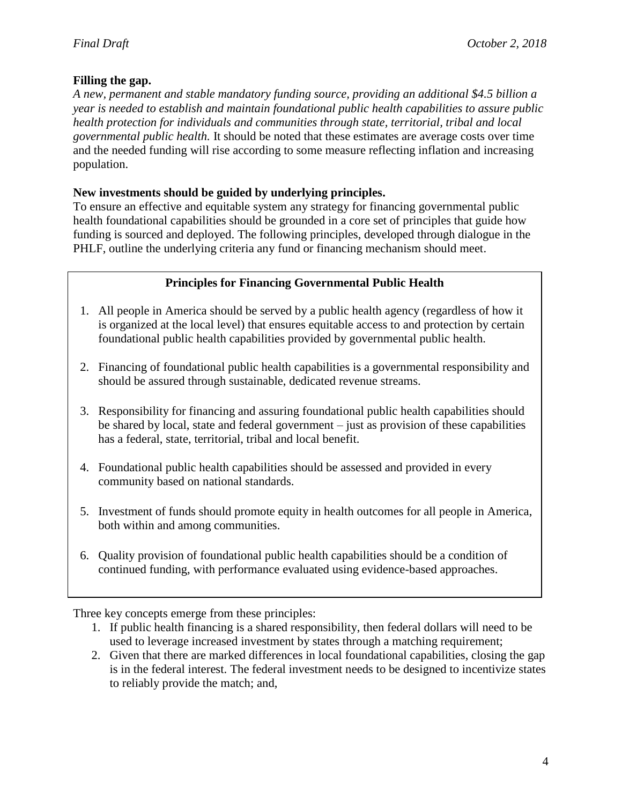## **Filling the gap.**

*A new, permanent and stable mandatory funding source, providing an additional \$4.5 billion a year is needed to establish and maintain foundational public health capabilities to assure public health protection for individuals and communities through state, territorial, tribal and local governmental public health.* It should be noted that these estimates are average costs over time and the needed funding will rise according to some measure reflecting inflation and increasing population.

# **New investments should be guided by underlying principles.**

To ensure an effective and equitable system any strategy for financing governmental public health foundational capabilities should be grounded in a core set of principles that guide how funding is sourced and deployed. The following principles, developed through dialogue in the PHLF, outline the underlying criteria any fund or financing mechanism should meet.

# **Principles for Financing Governmental Public Health**

- 1. All people in America should be served by a public health agency (regardless of how it is organized at the local level) that ensures equitable access to and protection by certain foundational public health capabilities provided by governmental public health.
- 2. Financing of foundational public health capabilities is a governmental responsibility and should be assured through sustainable, dedicated revenue streams.
- 3. Responsibility for financing and assuring foundational public health capabilities should be shared by local, state and federal government – just as provision of these capabilities has a federal, state, territorial, tribal and local benefit.
- 4. Foundational public health capabilities should be assessed and provided in every community based on national standards.
- 5. Investment of funds should promote equity in health outcomes for all people in America, both within and among communities.
- 6. Quality provision of foundational public health capabilities should be a condition of continued funding, with performance evaluated using evidence-based approaches.

Three key concepts emerge from these principles:

- 1. If public health financing is a shared responsibility, then federal dollars will need to be used to leverage increased investment by states through a matching requirement;
- 2. Given that there are marked differences in local foundational capabilities, closing the gap is in the federal interest. The federal investment needs to be designed to incentivize states to reliably provide the match; and,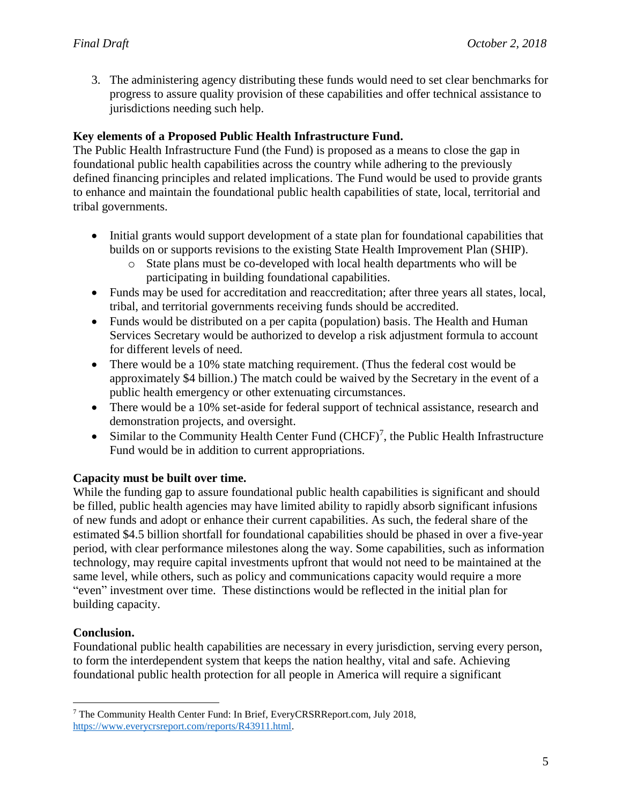3. The administering agency distributing these funds would need to set clear benchmarks for progress to assure quality provision of these capabilities and offer technical assistance to jurisdictions needing such help.

# **Key elements of a Proposed Public Health Infrastructure Fund.**

The Public Health Infrastructure Fund (the Fund) is proposed as a means to close the gap in foundational public health capabilities across the country while adhering to the previously defined financing principles and related implications. The Fund would be used to provide grants to enhance and maintain the foundational public health capabilities of state, local, territorial and tribal governments.

- Initial grants would support development of a state plan for foundational capabilities that builds on or supports revisions to the existing State Health Improvement Plan (SHIP).
	- o State plans must be co-developed with local health departments who will be participating in building foundational capabilities.
- Funds may be used for accreditation and reaccreditation; after three years all states, local, tribal, and territorial governments receiving funds should be accredited.
- Funds would be distributed on a per capita (population) basis. The Health and Human Services Secretary would be authorized to develop a risk adjustment formula to account for different levels of need.
- There would be a 10% state matching requirement. (Thus the federal cost would be approximately \$4 billion.) The match could be waived by the Secretary in the event of a public health emergency or other extenuating circumstances.
- There would be a 10% set-aside for federal support of technical assistance, research and demonstration projects, and oversight.
- Similar to the Community Health Center Fund  $(CHCF)^7$ , the Public Health Infrastructure Fund would be in addition to current appropriations.

### **Capacity must be built over time.**

While the funding gap to assure foundational public health capabilities is significant and should be filled, public health agencies may have limited ability to rapidly absorb significant infusions of new funds and adopt or enhance their current capabilities. As such, the federal share of the estimated \$4.5 billion shortfall for foundational capabilities should be phased in over a five-year period, with clear performance milestones along the way. Some capabilities, such as information technology, may require capital investments upfront that would not need to be maintained at the same level, while others, such as policy and communications capacity would require a more "even" investment over time. These distinctions would be reflected in the initial plan for building capacity.

### **Conclusion.**

Foundational public health capabilities are necessary in every jurisdiction, serving every person, to form the interdependent system that keeps the nation healthy, vital and safe. Achieving foundational public health protection for all people in America will require a significant

 $\overline{a}$ <sup>7</sup> The Community Health Center Fund: In Brief, EveryCRSRReport.com, July 2018, [https://www.everycrsreport.com/reports/R43911.html.](https://www.everycrsreport.com/reports/R43911.html)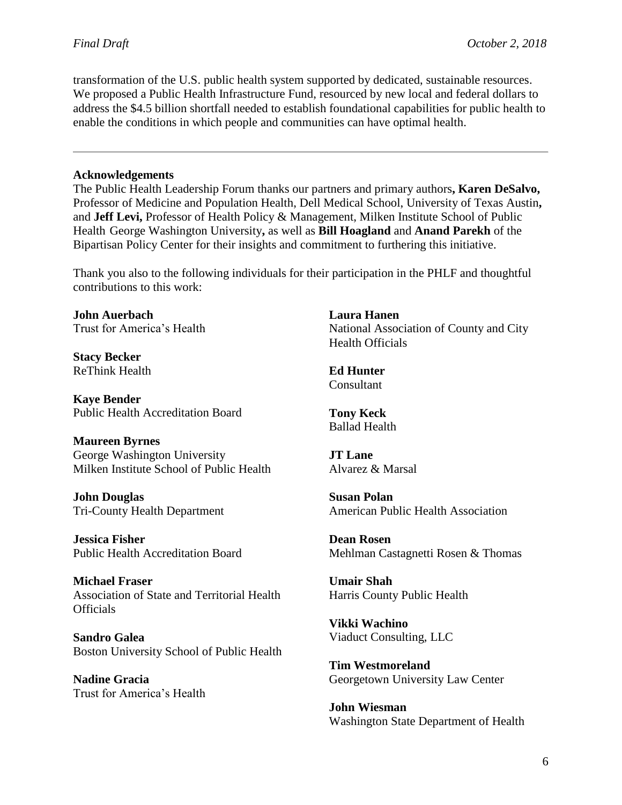transformation of the U.S. public health system supported by dedicated, sustainable resources. We proposed a Public Health Infrastructure Fund, resourced by new local and federal dollars to address the \$4.5 billion shortfall needed to establish foundational capabilities for public health to enable the conditions in which people and communities can have optimal health.

#### **Acknowledgements**

The Public Health Leadership Forum thanks our partners and primary authors**, Karen DeSalvo,** Professor of Medicine and Population Health, Dell Medical School, University of Texas Austin**,**  and **Jeff Levi,** Professor of Health Policy & Management, Milken Institute School of Public Health George Washington University**,** as well as **Bill Hoagland** and **Anand Parekh** of the Bipartisan Policy Center for their insights and commitment to furthering this initiative.

Thank you also to the following individuals for their participation in the PHLF and thoughtful contributions to this work:

**John Auerbach** Trust for America's Health

**Stacy Becker** ReThink Health

**Kaye Bender**  Public Health Accreditation Board

**Maureen Byrnes** George Washington University Milken Institute School of Public Health

**John Douglas** Tri-County Health Department

**Jessica Fisher** Public Health Accreditation Board

**Michael Fraser** Association of State and Territorial Health **Officials** 

**Sandro Galea** Boston University School of Public Health

**Nadine Gracia** Trust for America's Health

**Laura Hanen** National Association of County and City Health Officials

**Ed Hunter** Consultant

**Tony Keck** Ballad Health

**JT Lane** Alvarez & Marsal

**Susan Polan**  American Public Health Association

**Dean Rosen** Mehlman Castagnetti Rosen & Thomas

**Umair Shah** Harris County Public Health

**Vikki Wachino** Viaduct Consulting, LLC

**Tim Westmoreland** Georgetown University Law Center

**John Wiesman** Washington State Department of Health